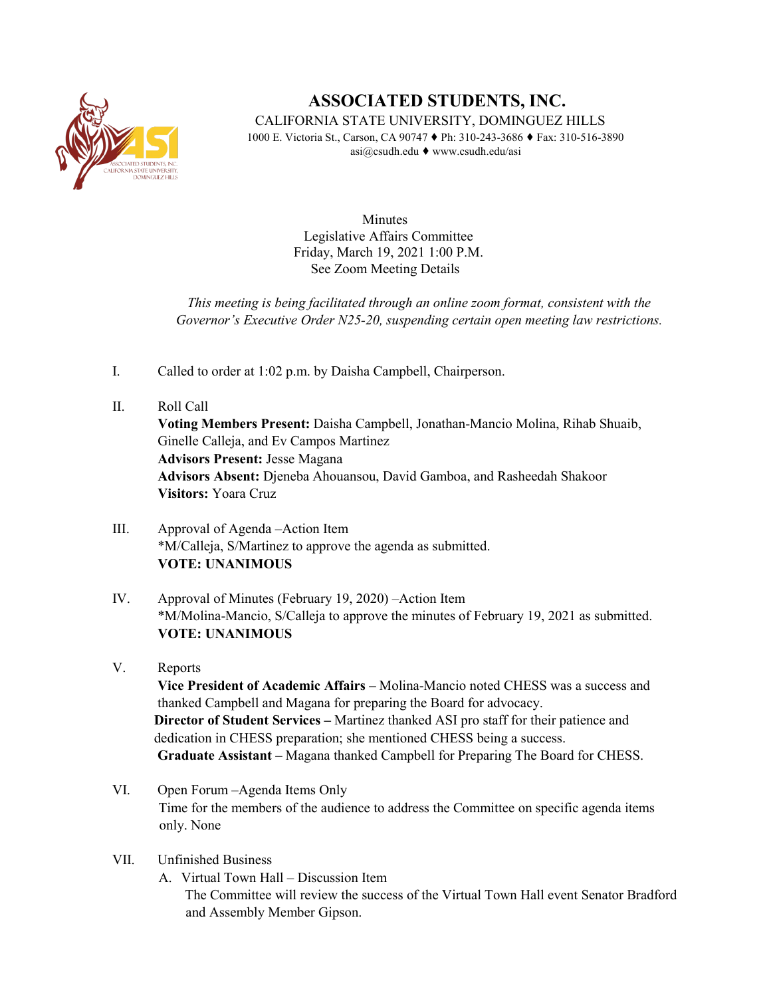

## **ASSOCIATED STUDENTS, INC.**

CALIFORNIA STATE UNIVERSITY, DOMINGUEZ HILLS

1000 E. Victoria St., Carson, CA 90747 ♦ Ph: 310-243-3686 ♦ Fax: 310-516-3890 asi@csudh.edu ♦ www.csudh.edu/asi

> **Minutes** Legislative Affairs Committee Friday, March 19, 2021 1:00 P.M. See Zoom Meeting Details

*This meeting is being facilitated through an online zoom format, consistent with the Governor's Executive Order N25-20, suspending certain open meeting law restrictions.* 

- I. Called to order at 1:02 p.m. by Daisha Campbell, Chairperson.
- II. Roll Call **Voting Members Present:** Daisha Campbell, Jonathan-Mancio Molina, Rihab Shuaib, Ginelle Calleja, and Ev Campos Martinez **Advisors Present:** Jesse Magana **Advisors Absent:** Djeneba Ahouansou, David Gamboa, and Rasheedah Shakoor **Visitors:** Yoara Cruz
- III. Approval of Agenda –Action Item \*M/Calleja, S/Martinez to approve the agenda as submitted. **VOTE: UNANIMOUS**
- IV. Approval of Minutes (February 19, 2020) –Action Item \*M/Molina-Mancio, S/Calleja to approve the minutes of February 19, 2021 as submitted. **VOTE: UNANIMOUS**
- V. Reports **Vice President of Academic Affairs –** Molina-Mancio noted CHESS was a success and thanked Campbell and Magana for preparing the Board for advocacy. **Director of Student Services –** Martinez thanked ASI pro staff for their patience and dedication in CHESS preparation; she mentioned CHESS being a success. **Graduate Assistant –** Magana thanked Campbell for Preparing The Board for CHESS.
- VI. Open Forum –Agenda Items Only Time for the members of the audience to address the Committee on specific agenda items only. None
- VII. Unfinished Business
	- A. Virtual Town Hall Discussion Item The Committee will review the success of the Virtual Town Hall event Senator Bradford and Assembly Member Gipson.